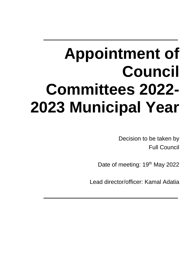# **Appointment of Council Committees 2022- 2023 Municipal Year**

Decision to be taken by Full Council

Date of meeting: 19<sup>th</sup> May 2022

Lead director/officer: Kamal Adatia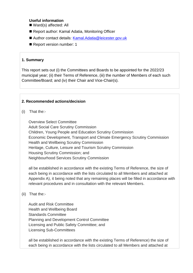#### **Useful information**

- Ward(s) affected: All
- Report author: Kamal Adatia, Monitoring Officer
- Author contact details: [Kamal.Adatia@leicester.gov.uk](mailto:Kamal.Adatia@leicester.gov.uk)
- Report version number: 1

#### **1. Summary**

This report sets out (i) the Committees and Boards to be appointed for the 2022/23 municipal year; (ii) their Terms of Reference, (iii) the number of Members of each such Committee/Board; and (iv) their Chair and Vice-Chair(s).

#### **2. Recommended actions/decision**

(i) That the:-

Overview Select Committee Adult Social Care Scrutiny Commission Children, Young People and Education Scrutiny Commission Economic Development, Transport and Climate Emergency Scrutiny Commission Health and Wellbeing Scrutiny Commission Heritage, Culture, Leisure and Tourism Scrutiny Commission Housing Scrutiny Commission; and Neighbourhood Services Scrutiny Commission

all be established in accordance with the existing Terms of Reference, the size of each being in accordance with the lists circulated to all Members and attached at Appendix A), it being noted that any remaining places will be filled in accordance with relevant procedures and in consultation with the relevant Members.

## (ii) That the:-

Audit and Risk Committee Health and Wellbeing Board Standards Committee Planning and Development Control Committee Licensing and Public Safety Committee; and Licensing Sub-Committees

all be established in accordance with the existing Terms of Reference) the size of each being in accordance with the lists circulated to all Members and attached at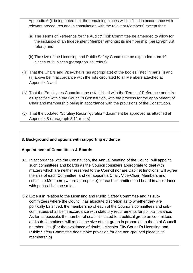Appendix A (it being noted that the remaining places will be filled in accordance with relevant procedures and in consultation with the relevant Members) except that:

- (a) The Terms of Reference for the Audit & Risk Committee be amended to allow for the inclusion of an Independent Member amongst its membership (paragraph 3.9 refers) and
- (b) The size of the Licensing and Public Safety Committee be expanded from 10 places to 15 places (paragraph 3.5 refers).
- (iii) That the Chairs and Vice-Chairs (as appropriate) of the bodies listed in parts (i) and (ii) above be in accordance with the lists circulated to all Members attached at Appendix A and
- (iv) That the Employees Committee be established with the Terms of Reference and size as specified within the Council's Constitution, with the process for the appointment of Chair and membership being in accordance with the provisions of the Constitution.
- (v) That the updated "Scrutiny Reconfiguration" document be approved as attached at Appendix B (paragraph 3.11 refers)

## **3. Background and options with supporting evidence**

# **Appointment of Committees & Boards**

- 3.1 In accordance with the Constitution, the Annual Meeting of the Council will appoint such committees and boards as the Council considers appropriate to deal with matters which are neither reserved to the Council nor are Cabinet functions; will agree the size of each Committee; and will appoint a Chair, Vice-Chair, Members and substitute Members (where appropriate) for each committee and board in accordance with political balance rules.
- 3.2 Except in relation to the Licensing and Public Safety Committee and its subcommittees where the Council has absolute discretion as to whether they are politically balanced, the membership of each of the Council's committees and subcommittees shall be in accordance with statutory requirements for political balance. As far as possible, the number of seats allocated to a political group on committees and sub-committees will reflect the size of that group in proportion to the total Council membership. (For the avoidance of doubt, Leicester City Council's Licensing and Public Safety Committee does make provision for one non-grouped place in its membership)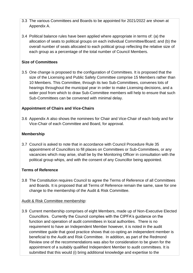- 3.3 The various Committees and Boards to be appointed for 2021/2022 are shown at Appendix A.
- 3.4 Political balance rules have been applied where appropriate in terms of: (a) the allocation of seats to political groups on each individual Committee/Board; and (b) the overall number of seats allocated to each political group reflecting the relative size of each group as a percentage of the total number of Council Members.

# **Size of Committees**

3.5 One change is proposed to the configuration of Committees. It is proposed that the size of the Licensing and Public Safety Committee comprise 15 Members rather than 10 Members. This Committee, through its two Sub-Committees, convenes lots of hearings throughout the municipal year in order to make Licensing decisions, and a wider pool from which to draw Sub-Committee members will help to ensure that such Sub-Committees can be convened with minimal delay.

# **Appointment of Chairs and Vice-Chairs**

3.6 Appendix A also shows the nominees for Chair and Vice-Chair of each body and for Vice-Chair of each Committee and Board, for approval.

## **Membership**

3.7 Council is asked to note that in accordance with Council Procedure Rule 35 appointment of Councillors to fill places on Committees or Sub-Committees, or any vacancies which may arise, shall be by the Monitoring Officer in consultation with the political group whips, and with the consent of any Councillor being appointed.

# **Terms of Reference**

3.8 The Constitution requires Council to agree the Terms of Reference of all Committees and Boards. It is proposed that all Terms of Reference remain the same, save for one change to the membership of the Audit & Risk Committee.

## Audit & Risk Committee membership:

3.9 Current membership comprises of eight Members, made up of Non-Executive Elected Councillors. Currently the Council complies with the CIPFA's guidance on the function and operation of audit committees in local authorities. There is no requirement to have an Independent Member however, it is noted in the audit committee guide that good practice shows that co-opting an independent member is beneficial to the Audit and Risk Committee. In addition, as part of the Redmond Review one of the recommendations was also for consideration to be given for the appointment of a suitably qualified Independent Member to audit committees. It is submitted that this would (i) bring additional knowledge and expertise to the